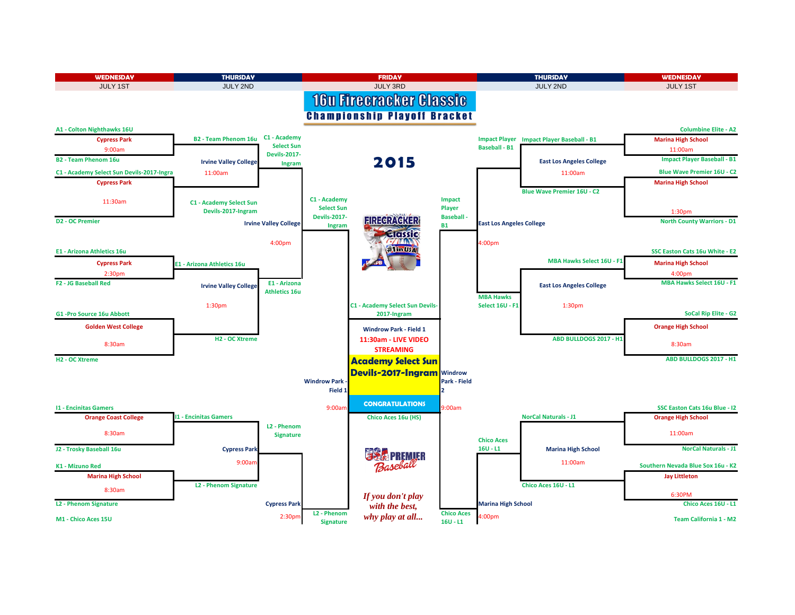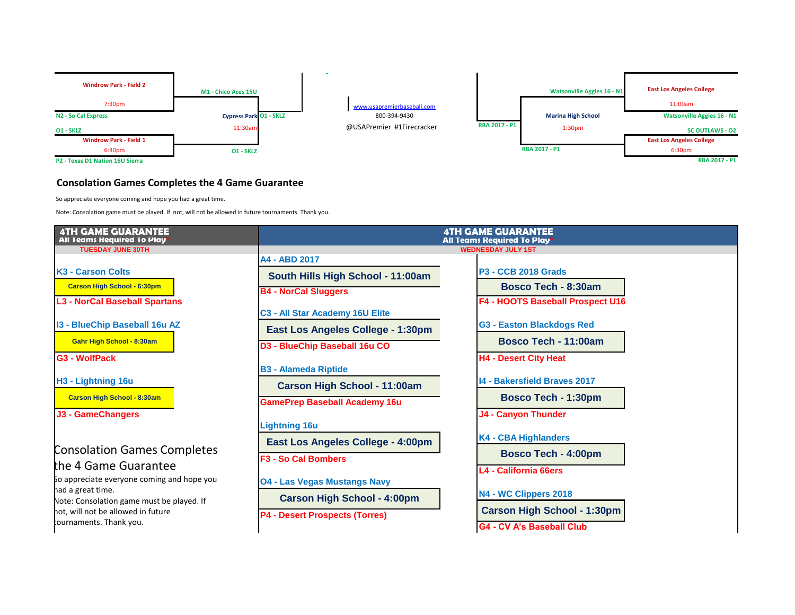

## **Consolation Games Completes the 4 Game Guarantee**

So appreciate everyone coming and hope you had a great time.

Note: Consolation game must be played. If not, will not be allowed in future tournaments. Thank you.

| <b>4TH GAME GUARANTEE</b><br>All leams Required To Play                                                    | <b>4TH GAME GUARANTEE</b><br>All Teams Required To Play*                  |                                                          |
|------------------------------------------------------------------------------------------------------------|---------------------------------------------------------------------------|----------------------------------------------------------|
| <b>TUESDAY JUNE 30TH</b>                                                                                   | <b>WEDNESDAY JULY 1ST</b>                                                 |                                                          |
| <b>K3 - Carson Colts</b>                                                                                   | A4 - ABD 2017<br>South Hills High School - 11:00am                        | <b>P3 - CCB 2018 Grads</b>                               |
| <b>Carson High School - 6:30pm</b>                                                                         | <b>B4 - NorCal Sluggers</b>                                               | Bosco Tech - 8:30am                                      |
| <b>L3 - NorCal Baseball Spartans</b>                                                                       | C3 - All Star Academy 16U Elite                                           | F4 - HOOTS Baseball Prospect U16                         |
| 13 - BlueChip Baseball 16u AZ                                                                              | East Los Angeles College - 1:30pm                                         | <b>G3 - Easton Blackdogs Red</b>                         |
| <b>Gahr High School - 8:30am</b>                                                                           | D3 - BlueChip Baseball 16u CO                                             | Bosco Tech - 11:00am                                     |
| <b>G3 - WolfPack</b>                                                                                       | <b>B3 - Alameda Riptide</b>                                               | <b>H4 - Desert City Heat</b>                             |
| H <sub>3</sub> - Lightning 16u                                                                             | <b>Carson High School - 11:00am</b>                                       | 14 - Bakersfield Braves 2017                             |
| <b>Carson High School - 8:30am</b><br><b>J3 - GameChangers</b>                                             | <b>GamePrep Baseball Academy 16u</b>                                      | <b>Bosco Tech - 1:30pm</b><br><b>J4 - Canyon Thunder</b> |
|                                                                                                            | <b>Lightning 16u</b>                                                      | <b>K4 - CBA Highlanders</b>                              |
| <b>Consolation Games Completes</b><br>the 4 Game Guarantee<br>So appreciate everyone coming and hope you   | East Los Angeles College - 4:00pm<br><b>F3 - So Cal Bombers</b>           | <b>Bosco Tech - 4:00pm</b>                               |
|                                                                                                            |                                                                           | L4 - California 66ers                                    |
| had a great time.                                                                                          | <b>O4 - Las Vegas Mustangs Navy</b><br><b>Carson High School - 4:00pm</b> | N4 - WC Clippers 2018                                    |
| Note: Consolation game must be played. If<br>not, will not be allowed in future<br>tournaments. Thank you. | <b>P4 - Desert Prospects (Torres)</b>                                     | <b>Carson High School - 1:30pm</b>                       |
|                                                                                                            |                                                                           | <b>G4 - CV A's Baseball Club</b>                         |